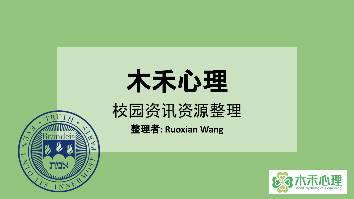

# 木禾心理

## 校园资讯资源整理

整理者**: Ruoxian Wang**

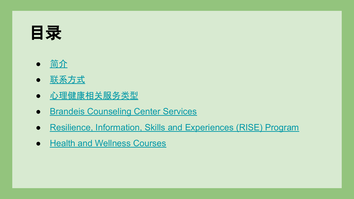### <span id="page-1-0"></span>目录

- [简](#page-2-0)介
- 联[系方式](#page-3-0)
- 心理健康相关服务类型
- Brandeis Counseling Center Services
- Resilience, Information, Skills and Experiences (RISE) Program
- Health and Wellness Courses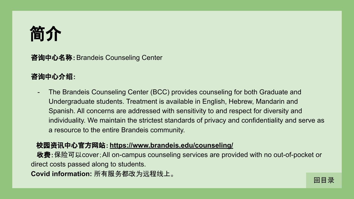<span id="page-2-0"></span>

咨询中心名称:Brandeis Counseling Center

#### 咨询中心介绍:

- The Brandeis Counseling Center (BCC) provides counseling for both Graduate and Undergraduate students. Treatment is available in English, Hebrew, Mandarin and Spanish. All concerns are addressed with sensitivity to and respect for diversity and individuality. We maintain the strictest standards of privacy and confidentiality and serve as a resource to the entire Brandeis community.

#### 校园资讯中心官方网站:**<https://www.brandeis.edu/counseling/>**

收费:保险可以cover;All on-campus counseling services are provided with no out-of-pocket or direct costs passed along to students.

**Covid information:** 所有服务都改为远程线上。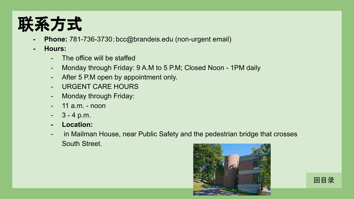<span id="page-3-0"></span>

- **- Phone:** 781-736-3730;bcc@brandeis.edu (non-urgent email)
- **- Hours:** 
	- The office will be staffed
	- Monday through Friday: 9 A.M to 5 P.M; Closed Noon 1PM daily
	- After 5 P.M open by appointment only.
	- URGENT CARE HOURS
	- Monday through Friday:
	- $-$  11 a.m.  $-$  noon
	- $3 4$  p.m.
	- **- Location:**
	- in Mailman House, near Public Safety and the pedestrian bridge that crosses South Street.



[回目](#page-1-0)录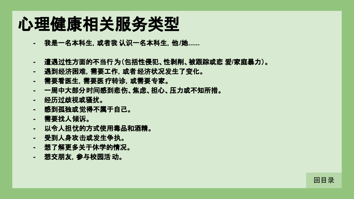## 心理健康相关服务类型

- **-** 我是一名本科生,或者我 认识一名本科生,他**/**她**......**
- **-** 遭遇过性方面的不当行为(包括性侵犯、性剥削、被跟踪或恋 爱**/**家庭暴力)。
- **-** 遇到经济困难,需要工作,或者经济状况发生了变化。
- **-** 需要看医生,需要医疗转䈀,或需要专家。
- **-** 一周中大部分时间感到悲伤、焦虑、担心、压力或不知所措。 **-** 经历过歧视或骚扰。
- 
- **-** 感到孤独或觉得不属于自己。
- **-** 需要找人倾䇿。
- **-** 以令人担忧的方式使用毒品和酒精。
- **-** 受到人身攻击或发生争执。
- **-** 想了解更多关于休学的情况。
- **-** 想交朋友,参与校园活 动。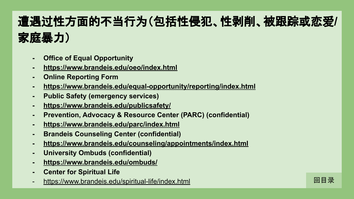#### 遭遇过性方面的不当行为(包括性侵犯、性剥削、被跟踪或恋爱**/** 家庭暴力)

- **- Office of Equal Opportunity**
- **- <https://www.brandeis.edu/oeo/index.html>**
- **- Online Reporting Form**
- **- <https://www.brandeis.edu/equal-opportunity/reporting/index.html>**
- **- Public Safety (emergency services)**
- **- <https://www.brandeis.edu/publicsafety/>**
- **- Prevention, Advocacy & Resource Center (PARC) (confidential)**
- **- <https://www.brandeis.edu/parc/index.html>**
- **- Brandeis Counseling Center (confidential)**
- **- <https://www.brandeis.edu/counseling/appointments/index.html>**
- **- University Ombuds (confidential)**
- **- <https://www.brandeis.edu/ombuds/>**
- **- Center for Spiritual Life**
- <https://www.brandeis.edu/spiritual-life/index.html>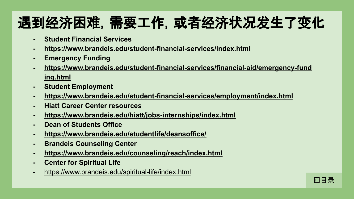### 遇到经济困难,需要工作,或者经济状况发生了变化

- **- Student Financial Services**
- **- <https://www.brandeis.edu/student-financial-services/index.html>**
- **- Emergency Funding**
- **- [https://www.brandeis.edu/student-financial-services/financial-aid/emergency-fund](https://www.brandeis.edu/student-financial-services/financial-aid/emergency-funding.html) [ing.html](https://www.brandeis.edu/student-financial-services/financial-aid/emergency-funding.html)**
- **- Student Employment**
- **- <https://www.brandeis.edu/student-financial-services/employment/index.html>**
- **- Hiatt Career Center resources**
- **- <https://www.brandeis.edu/hiatt/jobs-internships/index.html>**
- **- Dean of Students Office**
- **- <https://www.brandeis.edu/studentlife/deansoffice/>**
- **- Brandeis Counseling Center**
- **- <https://www.brandeis.edu/counseling/reach/index.html>**
- **- Center for Spiritual Life**
- <https://www.brandeis.edu/spiritual-life/index.html>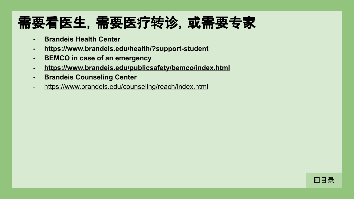#### 需要看医生,需要医疗转䈀,或需要专家

- **- Brandeis Health Center**
- **- <https://www.brandeis.edu/health/?support-student>**
- **- BEMCO in case of an emergency**
- **- <https://www.brandeis.edu/publicsafety/bemco/index.html>**
- **- Brandeis Counseling Center**
- <https://www.brandeis.edu/counseling/reach/index.html>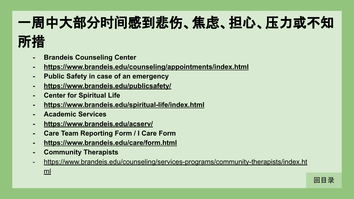# 一周中大部分时间感到悲伤、焦虑、担心、压力或不知

### 所措

- **- Brandeis Counseling Center**
- **- <https://www.brandeis.edu/counseling/appointments/index.html>**
- **- Public Safety in case of an emergency**
- **- <https://www.brandeis.edu/publicsafety/>**
- **- Center for Spiritual Life**
- **- <https://www.brandeis.edu/spiritual-life/index.html>**
- **- Academic Services**
- **- <https://www.brandeis.edu/acserv/>**
- **- Care Team Reporting Form / I Care Form**
- **- <https://www.brandeis.edu/care/form.html>**
- **- Community Therapists**
- [https://www.brandeis.edu/counseling/services-programs/community-therapists/index.ht](https://www.brandeis.edu/counseling/services-programs/community-therapists/index.html) [ml](https://www.brandeis.edu/counseling/services-programs/community-therapists/index.html)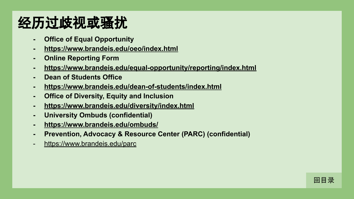#### 经历过歧视或骚扰

- **- Office of Equal Opportunity**
- **- <https://www.brandeis.edu/oeo/index.html>**
- **- Online Reporting Form**
- **- <https://www.brandeis.edu/equal-opportunity/reporting/index.html>**
- **- Dean of Students Office**
- **- <https://www.brandeis.edu/dean-of-students/index.html>**
- **- Office of Diversity, Equity and Inclusion**
- **- <https://www.brandeis.edu/diversity/index.html>**
- **- University Ombuds (confidential)**
- **- <https://www.brandeis.edu/ombuds/>**
- **- Prevention, Advocacy & Resource Center (PARC) (confidential)**
- <https://www.brandeis.edu/parc>

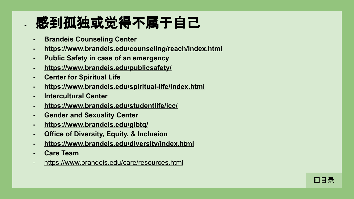#### **-** 感到孤独或觉得不属于自己

- **- Brandeis Counseling Center**
- **- <https://www.brandeis.edu/counseling/reach/index.html>**
- **- Public Safety in case of an emergency**
- **- <https://www.brandeis.edu/publicsafety/>**
- **- Center for Spiritual Life**
- **- <https://www.brandeis.edu/spiritual-life/index.html>**
- **- Intercultural Center**
- **- <https://www.brandeis.edu/studentlife/icc/>**
- **- Gender and Sexuality Center**
- **- <https://www.brandeis.edu/glbtq/>**
- **- Office of Diversity, Equity, & Inclusion**
- **- <https://www.brandeis.edu/diversity/index.html>**
- **- Care Team**
- <https://www.brandeis.edu/care/resources.html>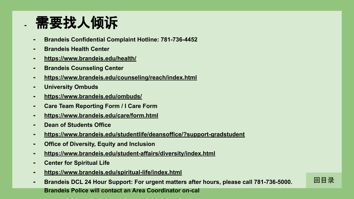#### **-** 需要找人倾䇿

- **- Brandeis Confidential Complaint Hotline: 781-736-4452**
- **- Brandeis Health Center**
- **- <https://www.brandeis.edu/health/>**
- **- Brandeis Counseling Center**
- **- <https://www.brandeis.edu/counseling/reach/index.html>**
- **- University Ombuds**
- **- <https://www.brandeis.edu/ombuds/>**
- **- Care Team Reporting Form / I Care Form**
- **- <https://www.brandeis.edu/care/form.html>**
- **- Dean of Students Office**
- **- <https://www.brandeis.edu/studentlife/deansoffice/?support-gradstudent>**
- **- Office of Diversity, Equity and Inclusion**
- **- <https://www.brandeis.edu/student-affairs/diversity/index.html>**
- **- Center for Spiritual Life**
- **- <https://www.brandeis.edu/spiritual-life/index.html>**
- **- Brandeis DCL 24 Hour Support: For urgent matters after hours, please call 781-736-5000. Brandeis Police will contact an Area Coordinator on-cal**

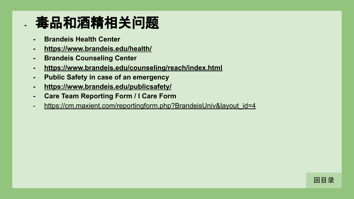#### **-** 毒品和酒精相关问题

- **- Brandeis Health Center**
- **- <https://www.brandeis.edu/health/>**
- **- Brandeis Counseling Center**
- **- <https://www.brandeis.edu/counseling/reach/index.html>**
- **- Public Safety in case of an emergency**
- **- <https://www.brandeis.edu/publicsafety/>**
- **- Care Team Reporting Form / I Care Form**
- [https://cm.maxient.com/reportingform.php?BrandeisUniv&layout\\_id=4](https://cm.maxient.com/reportingform.php?BrandeisUniv&layout_id=4)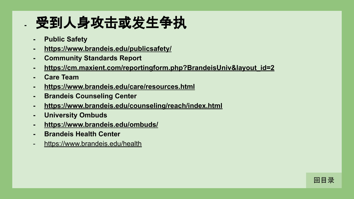#### **-** 受到人身攻击或发生争执

- **- Public Safety**
- **- <https://www.brandeis.edu/publicsafety/>**
- **- Community Standards Report**
- **- [https://cm.maxient.com/reportingform.php?BrandeisUniv&layout\\_id=2](https://cm.maxient.com/reportingform.php?BrandeisUniv&layout_id=2)**
- **- Care Team**
- **- <https://www.brandeis.edu/care/resources.html>**
- **- Brandeis Counseling Center**
- **- <https://www.brandeis.edu/counseling/reach/index.html>**
- **- University Ombuds**
- **- <https://www.brandeis.edu/ombuds/>**
- **- Brandeis Health Center**
- <https://www.brandeis.edu/health>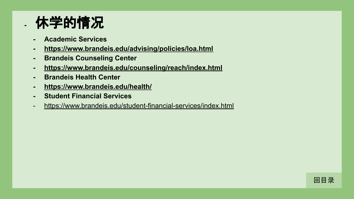#### **-** 休学的情况

- **- Academic Services**
- **- <https://www.brandeis.edu/advising/policies/loa.html>**
- **- Brandeis Counseling Center**
- **- <https://www.brandeis.edu/counseling/reach/index.html>**
- **- Brandeis Health Center**
- **- <https://www.brandeis.edu/health/>**
- **- Student Financial Services**
- <https://www.brandeis.edu/student-financial-services/index.html>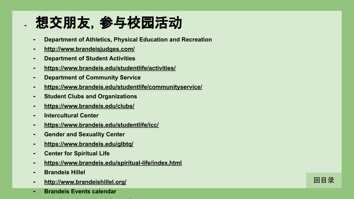#### **-** 想交朋友,参与校园活动

- **- Department of Athletics, Physical Education and Recreation**
- **- <http://www.brandeisjudges.com/>**
- **- Department of Student Activities**
- **- <https://www.brandeis.edu/studentlife/activities/>**
- **- Department of Community Service**
- **- <https://www.brandeis.edu/studentlife/communityservice/>**
- **- Student Clubs and Organizations**
- **- <https://www.brandeis.edu/clubs/>**
- **- Intercultural Center**
- **- <https://www.brandeis.edu/studentlife/icc/>**
- **- Gender and Sexuality Center**
- **- <https://www.brandeis.edu/glbtq/>**
- **- Center for Spiritual Life**
- **- <https://www.brandeis.edu/spiritual-life/index.html>**
- **- Brandeis Hillel**
- **- <http://www.brandeishillel.org/>**
- **- Brandeis Events calendar**
- <https://www.brandeis.edu/events/>

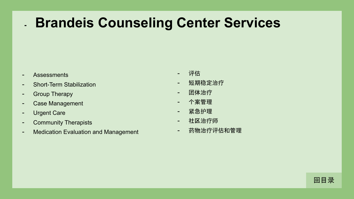#### **- Brandeis Counseling Center Services**

- **Assessments**
- Short-Term Stabilization
- Group Therapy
- Case Management
- Urgent Care
- Community Therapists
- Medication Evaluation and Management
- 评估
- 短期稳定治疗
- 团体治疗
- 个案管理
- 紧急护理
- 社区治疗师
- 药物治疗评估和管理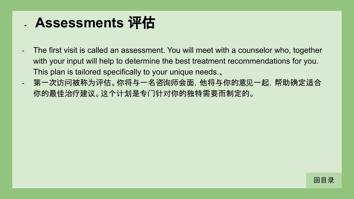#### **- Assessments** 评估

- The first visit is called an assessment. You will meet with a counselor who, together with your input will help to determine the best treatment recommendations for you. This plan is tailored specifically to your unique needs.、
- 第一次访问被称为评估。你将与一名咨询师会面,他将与你的意见一起,帮助确定适合 你的最佳治疗建议。这个计划是专门针对你的独特需要而制定的。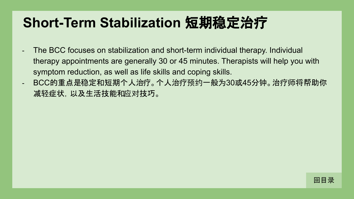#### **Short-Term Stabilization** 短期稳定治疗

- The BCC focuses on stabilization and short-term individual therapy. Individual therapy appointments are generally 30 or 45 minutes. Therapists will help you with symptom reduction, as well as life skills and coping skills.
- BCC的重点是稳定和短期个人治疗。个人治疗预约一般为30或45分钟。治疗师将帮助你 减轻症状,以及生活技能和应对技巧。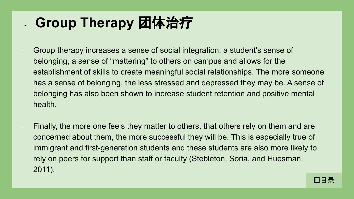#### **- Group Therapy** 团体治疗

- Group therapy increases a sense of social integration, a student's sense of belonging, a sense of "mattering" to others on campus and allows for the establishment of skills to create meaningful social relationships. The more someone has a sense of belonging, the less stressed and depressed they may be. A sense of belonging has also been shown to increase student retention and positive mental health.
- Finally, the more one feels they matter to others, that others rely on them and are concerned about them, the more successful they will be. This is especially true of immigrant and first-generation students and these students are also more likely to rely on peers for support than staff or faculty (Stebleton, Soria, and Huesman, 2011).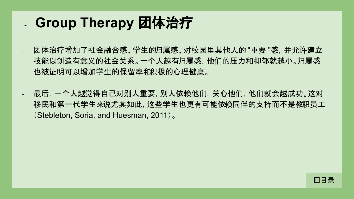#### **- Group Therapy** 团体治疗

- 团体治疗增加了社会融合感、学生的归属感、对校园里其他人的 "重要 "感,并允许建立 技能以创造有意义的社会关系。一个人越有归属感,他们的压力和抑郁就越小。归属感 也被证明可以增加学生的保留率和积极的心理健康。
- 最后,一个人越觉得自己对别人重要,别人依赖他们,关心他们,他们就会越成功。这对 移民和第一代学生来说尤其如此,这些学生也更有可能依赖同伴的支持而不是教职员工 (Stebleton, Soria, and Huesman, 2011)。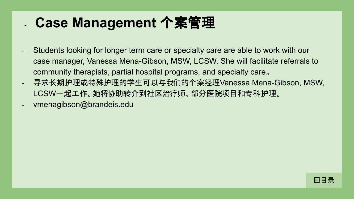#### **- Case Management** 个案管理

- Students looking for longer term care or specialty care are able to work with our case manager, Vanessa Mena-Gibson, MSW, LCSW. She will facilitate referrals to community therapists, partial hospital programs, and specialty care。
- 寻求长期护理或特殊护理的学生可以与我们的个案经理Vanessa Mena-Gibson, MSW, LCSW一起工作。她将协助转介到社区治疗师、部分医院项目和专科护理。
- vmenagibson@brandeis.edu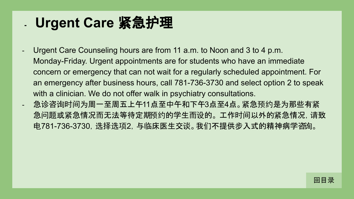#### **- Urgent Care** 紧急护理

- Urgent Care Counseling hours are from 11 a.m. to Noon and 3 to 4 p.m. Monday-Friday. Urgent appointments are for students who have an immediate concern or emergency that can not wait for a regularly scheduled appointment. For an emergency after business hours, call 781-736-3730 and select option 2 to speak with a clinician. We do not offer walk in psychiatry consultations. - 急䈀咨询时间为周一至周五上午11点至中午和下午3点至4点。紧急预约是为那些有紧
- 急问题或紧急情况而无法等待定期预约的学生而设的。 工作时间以外的紧急情况,请致 电781-736-3730,选择选项2,与临床医生交谈。我们不提供步入式的精神病学咨询。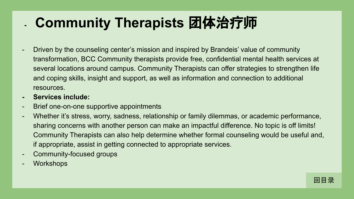#### **- Community Therapists** 团体治疗师

- Driven by the counseling center's mission and inspired by Brandeis' value of community transformation, BCC Community therapists provide free, confidential mental health services at several locations around campus. Community Therapists can offer strategies to strengthen life and coping skills, insight and support, as well as information and connection to additional resources.
- **- Services include:**
- Brief one-on-one supportive appointments
- Whether it's stress, worry, sadness, relationship or family dilemmas, or academic performance, sharing concerns with another person can make an impactful difference. No topic is off limits! Community Therapists can also help determine whether formal counseling would be useful and, if appropriate, assist in getting connected to appropriate services.
- Community-focused groups
- **Workshops**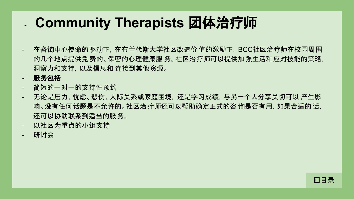#### **- Community Therapists** 团体治疗师

- 在咨询中心使命的驱动下,在布兰代斯大学社区改造价值的激励下,BCC社区治疗师在校园周围 的几个地点提供免费的、保密的心理健康服 务。社区治疗师可以提供加强生活和应对技能的策略, 洞察力和支持,以及信息和 连接到其他资源。
- **-** 服务包括
- 简短的一对一的支持性预约
- 无论是压力、忧虑、悲伤、人际关系或家庭困境,还是学习成绩,与另一个人分享关切可以 产生影 响。没有任何话题是不允许的。社区治疗师还可以帮助确定正式的咨 询是否有用,如果合适的 话, 还可以协助联系到适当的服务。
- 以社区为重点的小组支持
- 研讨会

[回目](#page-1-0)录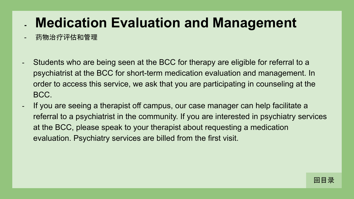#### **- Medication Evaluation and Management**

- 药物治疗评估和管理
- Students who are being seen at the BCC for therapy are eligible for referral to a psychiatrist at the BCC for short-term medication evaluation and management. In order to access this service, we ask that you are participating in counseling at the BCC.
- If you are seeing a therapist off campus, our case manager can help facilitate a referral to a psychiatrist in the community. If you are interested in psychiatry services at the BCC, please speak to your therapist about requesting a medication evaluation. Psychiatry services are billed from the first visit.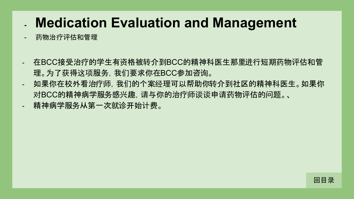#### **- Medication Evaluation and Management**

- 药物治疗评估和管理
- 在BCC接受治疗的学生有资格被转介到BCC的精神科医生那里进行短期药物评估和管 理。为了获得这项服务,我们要求你在BCC参加咨询。
- 如果你在校外看治疗师, 我们的个案经理可以帮助你转介到社区的精神科医生。如果你 对BCC的精神病学服务感兴趣,请与你的治疗师谈谈申请药物评估的问题。、 - 精神病学服务从第一次就诊开始计**费。**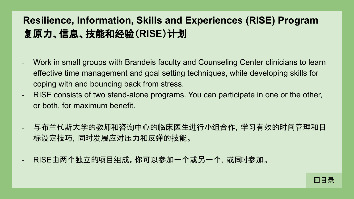#### **Resilience, Information, Skills and Experiences (RISE) Program** 复原力、信息、技能和经验(**RISE**)计划

- Work in small groups with Brandeis faculty and Counseling Center clinicians to learn effective time management and goal setting techniques, while developing skills for coping with and bouncing back from stress.
- RISE consists of two stand-alone programs. You can participate in one or the other, or both, for maximum benefit.
- 与布兰代斯大学的教师和咨询中心的临床医生进行小组合作,学习有效的时间管理和目 标设定技巧,同时发展应对压力和反弹的技能。
- RISE由两个独立的项目组成。你可以参加一个或另一个,或同时参加。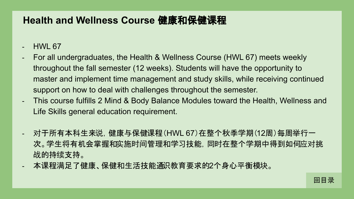#### **Health and Wellness Course** 健康和保健课程

**HWL 67** 

- For all undergraduates, the Health & Wellness Course (HWL 67) meets weekly throughout the fall semester (12 weeks). Students will have the opportunity to master and implement time management and study skills, while receiving continued support on how to deal with challenges throughout the semester.
- This course fulfills 2 Mind & Body Balance Modules toward the Health, Wellness and Life Skills general education requirement.
- 对于所有本科生来说,健康与保健课程(HWL 67)在整个秋季学期(12周)每周举行一 次。学生将有机会掌握和实施时间管理和学习技能,同时在整个学期中得到如何应对挑 战的持续支持。
- 本课程满足了健康、保健和生活技能通识教育要求的2个身心平衡模块。